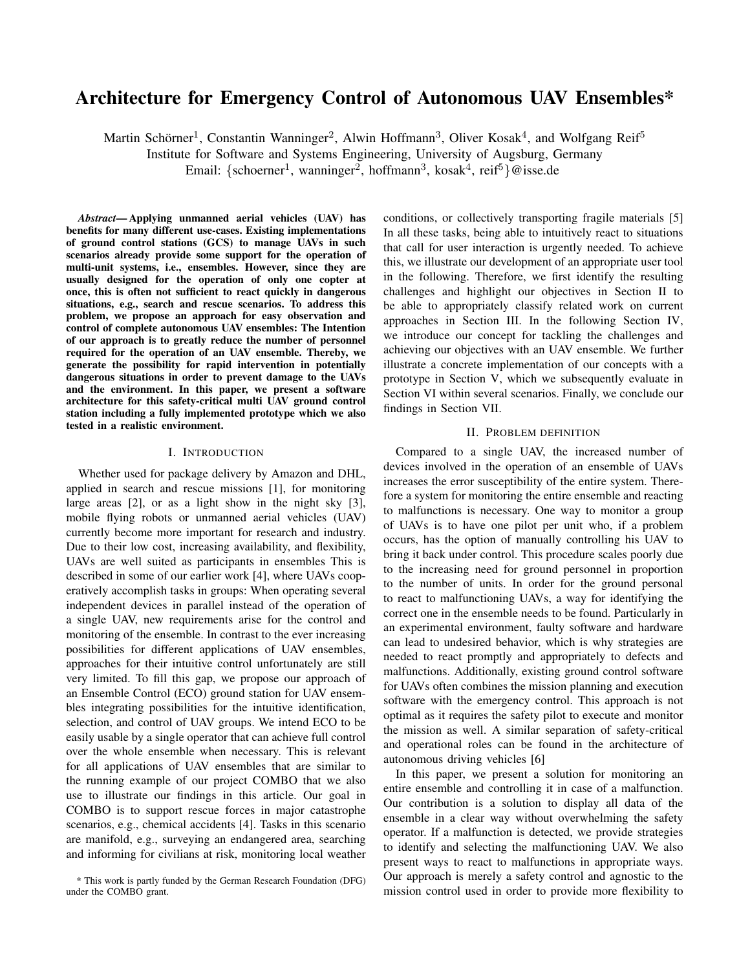# Architecture for Emergency Control of Autonomous UAV Ensembles\*

Martin Schörner<sup>1</sup>, Constantin Wanninger<sup>2</sup>, Alwin Hoffmann<sup>3</sup>, Oliver Kosak<sup>4</sup>, and Wolfgang Reif<sup>5</sup>

Institute for Software and Systems Engineering, University of Augsburg, Germany

Email: {schoerner<sup>1</sup>, wanninger<sup>2</sup>, hoffmann<sup>3</sup>, kosak<sup>4</sup>, reif<sup>5</sup>}@isse.de

*Abstract*— Applying unmanned aerial vehicles (UAV) has benefits for many different use-cases. Existing implementations of ground control stations (GCS) to manage UAVs in such scenarios already provide some support for the operation of multi-unit systems, i.e., ensembles. However, since they are usually designed for the operation of only one copter at once, this is often not sufficient to react quickly in dangerous situations, e.g., search and rescue scenarios. To address this problem, we propose an approach for easy observation and control of complete autonomous UAV ensembles: The Intention of our approach is to greatly reduce the number of personnel required for the operation of an UAV ensemble. Thereby, we generate the possibility for rapid intervention in potentially dangerous situations in order to prevent damage to the UAVs and the environment. In this paper, we present a software architecture for this safety-critical multi UAV ground control station including a fully implemented prototype which we also tested in a realistic environment.

# I. INTRODUCTION

Whether used for package delivery by Amazon and DHL, applied in search and rescue missions [1], for monitoring large areas [2], or as a light show in the night sky [3], mobile flying robots or unmanned aerial vehicles (UAV) currently become more important for research and industry. Due to their low cost, increasing availability, and flexibility, UAVs are well suited as participants in ensembles This is described in some of our earlier work [4], where UAVs cooperatively accomplish tasks in groups: When operating several independent devices in parallel instead of the operation of a single UAV, new requirements arise for the control and monitoring of the ensemble. In contrast to the ever increasing possibilities for different applications of UAV ensembles, approaches for their intuitive control unfortunately are still very limited. To fill this gap, we propose our approach of an Ensemble Control (ECO) ground station for UAV ensembles integrating possibilities for the intuitive identification, selection, and control of UAV groups. We intend ECO to be easily usable by a single operator that can achieve full control over the whole ensemble when necessary. This is relevant for all applications of UAV ensembles that are similar to the running example of our project COMBO that we also use to illustrate our findings in this article. Our goal in COMBO is to support rescue forces in major catastrophe scenarios, e.g., chemical accidents [4]. Tasks in this scenario are manifold, e.g., surveying an endangered area, searching and informing for civilians at risk, monitoring local weather

conditions, or collectively transporting fragile materials [5] In all these tasks, being able to intuitively react to situations that call for user interaction is urgently needed. To achieve this, we illustrate our development of an appropriate user tool in the following. Therefore, we first identify the resulting challenges and highlight our objectives in Section II to be able to appropriately classify related work on current approaches in Section III. In the following Section IV, we introduce our concept for tackling the challenges and achieving our objectives with an UAV ensemble. We further illustrate a concrete implementation of our concepts with a prototype in Section V, which we subsequently evaluate in Section VI within several scenarios. Finally, we conclude our findings in Section VII.

#### II. PROBLEM DEFINITION

Compared to a single UAV, the increased number of devices involved in the operation of an ensemble of UAVs increases the error susceptibility of the entire system. Therefore a system for monitoring the entire ensemble and reacting to malfunctions is necessary. One way to monitor a group of UAVs is to have one pilot per unit who, if a problem occurs, has the option of manually controlling his UAV to bring it back under control. This procedure scales poorly due to the increasing need for ground personnel in proportion to the number of units. In order for the ground personal to react to malfunctioning UAVs, a way for identifying the correct one in the ensemble needs to be found. Particularly in an experimental environment, faulty software and hardware can lead to undesired behavior, which is why strategies are needed to react promptly and appropriately to defects and malfunctions. Additionally, existing ground control software for UAVs often combines the mission planning and execution software with the emergency control. This approach is not optimal as it requires the safety pilot to execute and monitor the mission as well. A similar separation of safety-critical and operational roles can be found in the architecture of autonomous driving vehicles [6]

In this paper, we present a solution for monitoring an entire ensemble and controlling it in case of a malfunction. Our contribution is a solution to display all data of the ensemble in a clear way without overwhelming the safety operator. If a malfunction is detected, we provide strategies to identify and selecting the malfunctioning UAV. We also present ways to react to malfunctions in appropriate ways. Our approach is merely a safety control and agnostic to the mission control used in order to provide more flexibility to

<sup>\*</sup> This work is partly funded by the German Research Foundation (DFG) under the COMBO grant.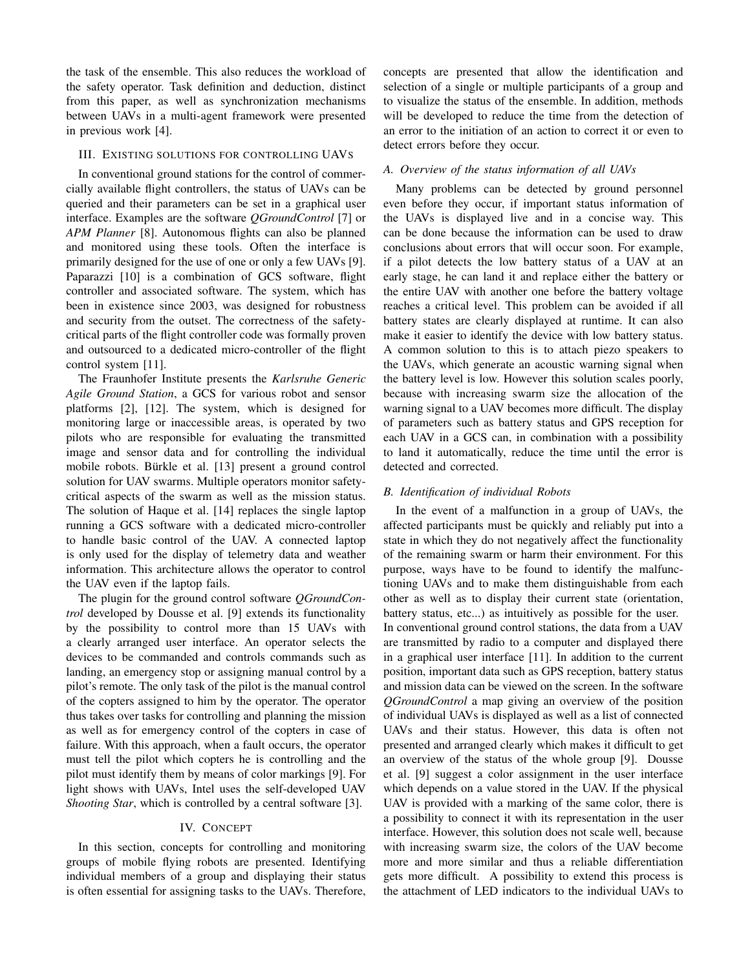the task of the ensemble. This also reduces the workload of the safety operator. Task definition and deduction, distinct from this paper, as well as synchronization mechanisms between UAVs in a multi-agent framework were presented in previous work [4].

## III. EXISTING SOLUTIONS FOR CONTROLLING UAVS

In conventional ground stations for the control of commercially available flight controllers, the status of UAVs can be queried and their parameters can be set in a graphical user interface. Examples are the software *QGroundControl* [7] or *APM Planner* [8]. Autonomous flights can also be planned and monitored using these tools. Often the interface is primarily designed for the use of one or only a few UAVs [9]. Paparazzi [10] is a combination of GCS software, flight controller and associated software. The system, which has been in existence since 2003, was designed for robustness and security from the outset. The correctness of the safetycritical parts of the flight controller code was formally proven and outsourced to a dedicated micro-controller of the flight control system [11].

The Fraunhofer Institute presents the *Karlsruhe Generic Agile Ground Station*, a GCS for various robot and sensor platforms [2], [12]. The system, which is designed for monitoring large or inaccessible areas, is operated by two pilots who are responsible for evaluating the transmitted image and sensor data and for controlling the individual mobile robots. Bürkle et al. [13] present a ground control solution for UAV swarms. Multiple operators monitor safetycritical aspects of the swarm as well as the mission status. The solution of Haque et al. [14] replaces the single laptop running a GCS software with a dedicated micro-controller to handle basic control of the UAV. A connected laptop is only used for the display of telemetry data and weather information. This architecture allows the operator to control the UAV even if the laptop fails.

The plugin for the ground control software *QGroundControl* developed by Dousse et al. [9] extends its functionality by the possibility to control more than 15 UAVs with a clearly arranged user interface. An operator selects the devices to be commanded and controls commands such as landing, an emergency stop or assigning manual control by a pilot's remote. The only task of the pilot is the manual control of the copters assigned to him by the operator. The operator thus takes over tasks for controlling and planning the mission as well as for emergency control of the copters in case of failure. With this approach, when a fault occurs, the operator must tell the pilot which copters he is controlling and the pilot must identify them by means of color markings [9]. For light shows with UAVs, Intel uses the self-developed UAV *Shooting Star*, which is controlled by a central software [3].

# IV. CONCEPT

In this section, concepts for controlling and monitoring groups of mobile flying robots are presented. Identifying individual members of a group and displaying their status is often essential for assigning tasks to the UAVs. Therefore,

concepts are presented that allow the identification and selection of a single or multiple participants of a group and to visualize the status of the ensemble. In addition, methods will be developed to reduce the time from the detection of an error to the initiation of an action to correct it or even to detect errors before they occur.

# *A. Overview of the status information of all UAVs*

Many problems can be detected by ground personnel even before they occur, if important status information of the UAVs is displayed live and in a concise way. This can be done because the information can be used to draw conclusions about errors that will occur soon. For example, if a pilot detects the low battery status of a UAV at an early stage, he can land it and replace either the battery or the entire UAV with another one before the battery voltage reaches a critical level. This problem can be avoided if all battery states are clearly displayed at runtime. It can also make it easier to identify the device with low battery status. A common solution to this is to attach piezo speakers to the UAVs, which generate an acoustic warning signal when the battery level is low. However this solution scales poorly, because with increasing swarm size the allocation of the warning signal to a UAV becomes more difficult. The display of parameters such as battery status and GPS reception for each UAV in a GCS can, in combination with a possibility to land it automatically, reduce the time until the error is detected and corrected.

# *B. Identification of individual Robots*

In the event of a malfunction in a group of UAVs, the affected participants must be quickly and reliably put into a state in which they do not negatively affect the functionality of the remaining swarm or harm their environment. For this purpose, ways have to be found to identify the malfunctioning UAVs and to make them distinguishable from each other as well as to display their current state (orientation, battery status, etc...) as intuitively as possible for the user. In conventional ground control stations, the data from a UAV are transmitted by radio to a computer and displayed there in a graphical user interface [11]. In addition to the current position, important data such as GPS reception, battery status and mission data can be viewed on the screen. In the software *QGroundControl* a map giving an overview of the position of individual UAVs is displayed as well as a list of connected UAVs and their status. However, this data is often not presented and arranged clearly which makes it difficult to get an overview of the status of the whole group [9]. Dousse et al. [9] suggest a color assignment in the user interface which depends on a value stored in the UAV. If the physical UAV is provided with a marking of the same color, there is a possibility to connect it with its representation in the user interface. However, this solution does not scale well, because with increasing swarm size, the colors of the UAV become more and more similar and thus a reliable differentiation gets more difficult. A possibility to extend this process is the attachment of LED indicators to the individual UAVs to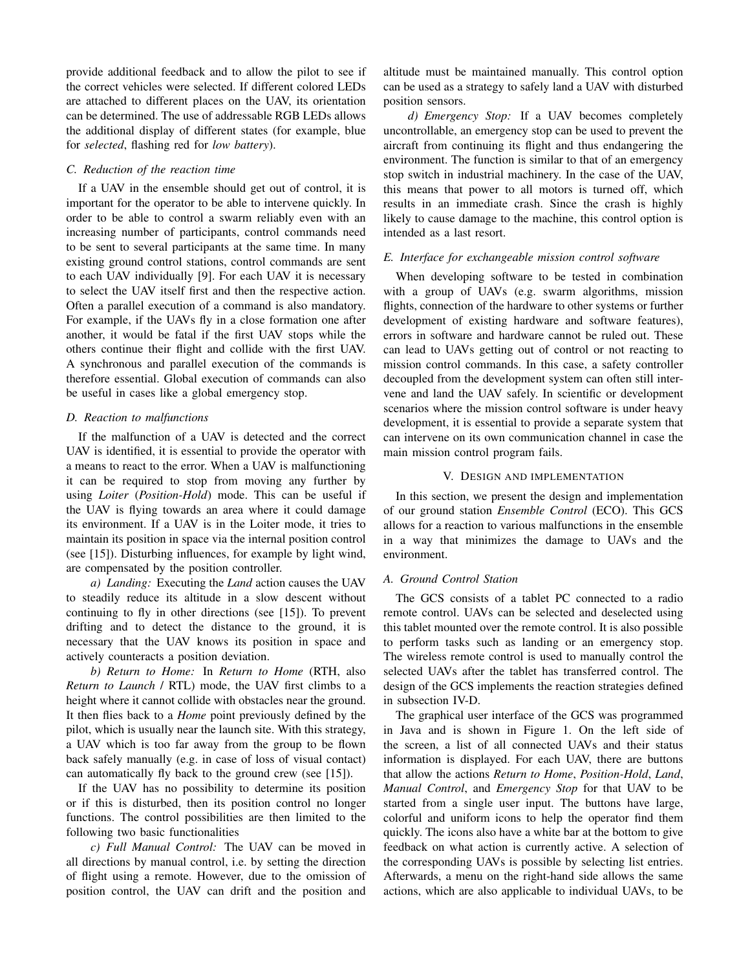provide additional feedback and to allow the pilot to see if the correct vehicles were selected. If different colored LEDs are attached to different places on the UAV, its orientation can be determined. The use of addressable RGB LEDs allows the additional display of different states (for example, blue for *selected*, flashing red for *low battery*).

#### *C. Reduction of the reaction time*

If a UAV in the ensemble should get out of control, it is important for the operator to be able to intervene quickly. In order to be able to control a swarm reliably even with an increasing number of participants, control commands need to be sent to several participants at the same time. In many existing ground control stations, control commands are sent to each UAV individually [9]. For each UAV it is necessary to select the UAV itself first and then the respective action. Often a parallel execution of a command is also mandatory. For example, if the UAVs fly in a close formation one after another, it would be fatal if the first UAV stops while the others continue their flight and collide with the first UAV. A synchronous and parallel execution of the commands is therefore essential. Global execution of commands can also be useful in cases like a global emergency stop.

# *D. Reaction to malfunctions*

If the malfunction of a UAV is detected and the correct UAV is identified, it is essential to provide the operator with a means to react to the error. When a UAV is malfunctioning it can be required to stop from moving any further by using *Loiter* (*Position-Hold*) mode. This can be useful if the UAV is flying towards an area where it could damage its environment. If a UAV is in the Loiter mode, it tries to maintain its position in space via the internal position control (see [15]). Disturbing influences, for example by light wind, are compensated by the position controller.

*a) Landing:* Executing the *Land* action causes the UAV to steadily reduce its altitude in a slow descent without continuing to fly in other directions (see [15]). To prevent drifting and to detect the distance to the ground, it is necessary that the UAV knows its position in space and actively counteracts a position deviation.

*b) Return to Home:* In *Return to Home* (RTH, also *Return to Launch* / RTL) mode, the UAV first climbs to a height where it cannot collide with obstacles near the ground. It then flies back to a *Home* point previously defined by the pilot, which is usually near the launch site. With this strategy, a UAV which is too far away from the group to be flown back safely manually (e.g. in case of loss of visual contact) can automatically fly back to the ground crew (see [15]).

If the UAV has no possibility to determine its position or if this is disturbed, then its position control no longer functions. The control possibilities are then limited to the following two basic functionalities

*c) Full Manual Control:* The UAV can be moved in all directions by manual control, i.e. by setting the direction of flight using a remote. However, due to the omission of position control, the UAV can drift and the position and

altitude must be maintained manually. This control option can be used as a strategy to safely land a UAV with disturbed position sensors.

*d) Emergency Stop:* If a UAV becomes completely uncontrollable, an emergency stop can be used to prevent the aircraft from continuing its flight and thus endangering the environment. The function is similar to that of an emergency stop switch in industrial machinery. In the case of the UAV, this means that power to all motors is turned off, which results in an immediate crash. Since the crash is highly likely to cause damage to the machine, this control option is intended as a last resort.

#### *E. Interface for exchangeable mission control software*

When developing software to be tested in combination with a group of UAVs (e.g. swarm algorithms, mission flights, connection of the hardware to other systems or further development of existing hardware and software features), errors in software and hardware cannot be ruled out. These can lead to UAVs getting out of control or not reacting to mission control commands. In this case, a safety controller decoupled from the development system can often still intervene and land the UAV safely. In scientific or development scenarios where the mission control software is under heavy development, it is essential to provide a separate system that can intervene on its own communication channel in case the main mission control program fails.

#### V. DESIGN AND IMPLEMENTATION

In this section, we present the design and implementation of our ground station *Ensemble Control* (ECO). This GCS allows for a reaction to various malfunctions in the ensemble in a way that minimizes the damage to UAVs and the environment.

# *A. Ground Control Station*

The GCS consists of a tablet PC connected to a radio remote control. UAVs can be selected and deselected using this tablet mounted over the remote control. It is also possible to perform tasks such as landing or an emergency stop. The wireless remote control is used to manually control the selected UAVs after the tablet has transferred control. The design of the GCS implements the reaction strategies defined in subsection IV-D.

The graphical user interface of the GCS was programmed in Java and is shown in Figure 1. On the left side of the screen, a list of all connected UAVs and their status information is displayed. For each UAV, there are buttons that allow the actions *Return to Home*, *Position-Hold*, *Land*, *Manual Control*, and *Emergency Stop* for that UAV to be started from a single user input. The buttons have large, colorful and uniform icons to help the operator find them quickly. The icons also have a white bar at the bottom to give feedback on what action is currently active. A selection of the corresponding UAVs is possible by selecting list entries. Afterwards, a menu on the right-hand side allows the same actions, which are also applicable to individual UAVs, to be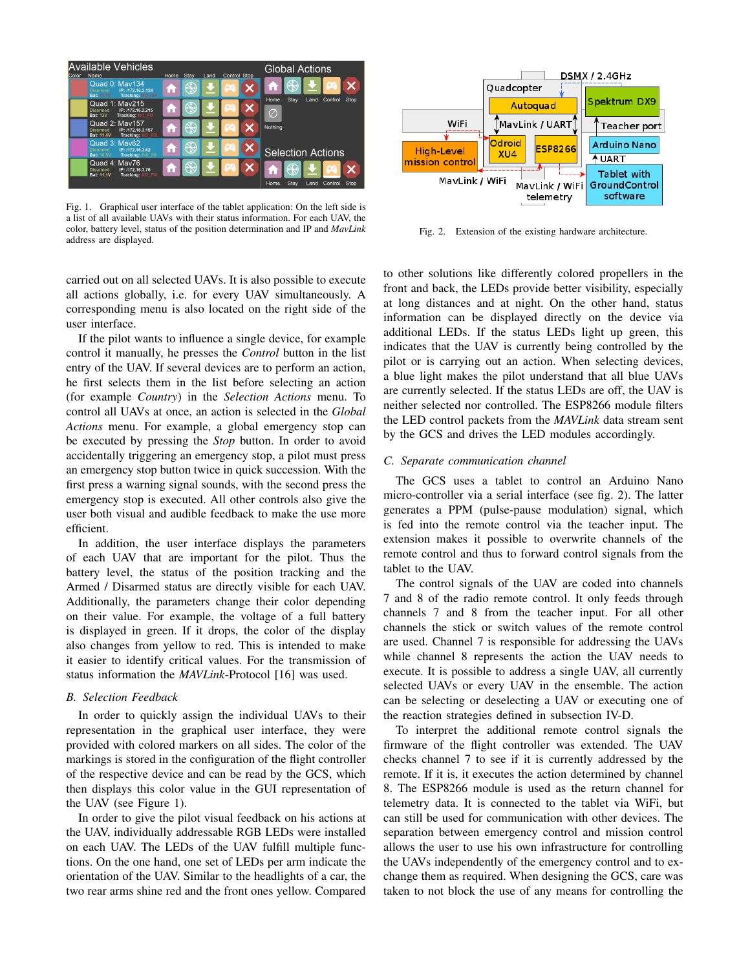| <b>Available Vehicles</b><br>Control Stop<br>Name<br>Stay<br>Color<br>Home<br>Land |                                                                                                        |   |             |  | <b>Global Actions</b> |  |                                              |
|------------------------------------------------------------------------------------|--------------------------------------------------------------------------------------------------------|---|-------------|--|-----------------------|--|----------------------------------------------|
|                                                                                    | Quad 0: May134<br>IP: /172.16.3.134<br><b>Disarmed</b><br><b>Tracking: NO FIX</b><br><b>Bat: 11.1V</b> | m | $\bigoplus$ |  | 68                    |  | $\bigoplus$<br>œ<br>i.                       |
|                                                                                    | Quad 1: May215<br>IP: /172.16.3.215<br><b>Disarmed</b><br><b>Bat: 12V</b><br>Tracking: NO FIX          | A |             |  | ŦΖ                    |  | Stay<br>Home<br>Control<br>Stop<br>Land<br>Ø |
|                                                                                    | Quad 2: May157<br>IP: /172.16.3.157<br><b>Disarmed</b><br>Tracking: NO_FIX<br><b>Bat: 11.4V</b>        | 6 |             |  |                       |  | Nothing                                      |
|                                                                                    | Quad 3: May62<br>IP: /172.16.3.62<br><b>Disarmed</b><br>Tracking: FIX 3D<br><b>Bat: 16.5V</b>          | m | $\bigoplus$ |  | 68                    |  | <b>Selection Actions</b>                     |
|                                                                                    | Quad 4: May76<br>IP: /172.16.3.76<br><b>Disarmed</b><br><b>Bat: 11.1V</b><br>Tracking: NO FIX          |   |             |  | 69.                   |  | $\bigoplus$<br><b>PA</b>                     |
|                                                                                    |                                                                                                        |   |             |  |                       |  | Stay<br>Home<br>Control<br>Stop<br>Land      |

Fig. 1. Graphical user interface of the tablet application: On the left side is a list of all available UAVs with their status information. For each UAV, the color, battery level, status of the position determination and IP and *MavLink* address are displayed.

carried out on all selected UAVs. It is also possible to execute all actions globally, i.e. for every UAV simultaneously. A corresponding menu is also located on the right side of the user interface.

If the pilot wants to influence a single device, for example control it manually, he presses the *Control* button in the list entry of the UAV. If several devices are to perform an action, he first selects them in the list before selecting an action (for example *Country*) in the *Selection Actions* menu. To control all UAVs at once, an action is selected in the *Global Actions* menu. For example, a global emergency stop can be executed by pressing the *Stop* button. In order to avoid accidentally triggering an emergency stop, a pilot must press an emergency stop button twice in quick succession. With the first press a warning signal sounds, with the second press the emergency stop is executed. All other controls also give the user both visual and audible feedback to make the use more efficient.

In addition, the user interface displays the parameters of each UAV that are important for the pilot. Thus the battery level, the status of the position tracking and the Armed / Disarmed status are directly visible for each UAV. Additionally, the parameters change their color depending on their value. For example, the voltage of a full battery is displayed in green. If it drops, the color of the display also changes from yellow to red. This is intended to make it easier to identify critical values. For the transmission of status information the *MAVLink*-Protocol [16] was used.

# *B. Selection Feedback*

In order to quickly assign the individual UAVs to their representation in the graphical user interface, they were provided with colored markers on all sides. The color of the markings is stored in the configuration of the flight controller of the respective device and can be read by the GCS, which then displays this color value in the GUI representation of the UAV (see Figure 1).

In order to give the pilot visual feedback on his actions at the UAV, individually addressable RGB LEDs were installed on each UAV. The LEDs of the UAV fulfill multiple functions. On the one hand, one set of LEDs per arm indicate the orientation of the UAV. Similar to the headlights of a car, the two rear arms shine red and the front ones yellow. Compared



Fig. 2. Extension of the existing hardware architecture.

to other solutions like differently colored propellers in the front and back, the LEDs provide better visibility, especially at long distances and at night. On the other hand, status information can be displayed directly on the device via additional LEDs. If the status LEDs light up green, this indicates that the UAV is currently being controlled by the pilot or is carrying out an action. When selecting devices, a blue light makes the pilot understand that all blue UAVs are currently selected. If the status LEDs are off, the UAV is neither selected nor controlled. The ESP8266 module filters the LED control packets from the *MAVLink* data stream sent by the GCS and drives the LED modules accordingly.

#### *C. Separate communication channel*

The GCS uses a tablet to control an Arduino Nano micro-controller via a serial interface (see fig. 2). The latter generates a PPM (pulse-pause modulation) signal, which is fed into the remote control via the teacher input. The extension makes it possible to overwrite channels of the remote control and thus to forward control signals from the tablet to the UAV.

The control signals of the UAV are coded into channels 7 and 8 of the radio remote control. It only feeds through channels 7 and 8 from the teacher input. For all other channels the stick or switch values of the remote control are used. Channel 7 is responsible for addressing the UAVs while channel 8 represents the action the UAV needs to execute. It is possible to address a single UAV, all currently selected UAVs or every UAV in the ensemble. The action can be selecting or deselecting a UAV or executing one of the reaction strategies defined in subsection IV-D.

To interpret the additional remote control signals the firmware of the flight controller was extended. The UAV checks channel 7 to see if it is currently addressed by the remote. If it is, it executes the action determined by channel 8. The ESP8266 module is used as the return channel for telemetry data. It is connected to the tablet via WiFi, but can still be used for communication with other devices. The separation between emergency control and mission control allows the user to use his own infrastructure for controlling the UAVs independently of the emergency control and to exchange them as required. When designing the GCS, care was taken to not block the use of any means for controlling the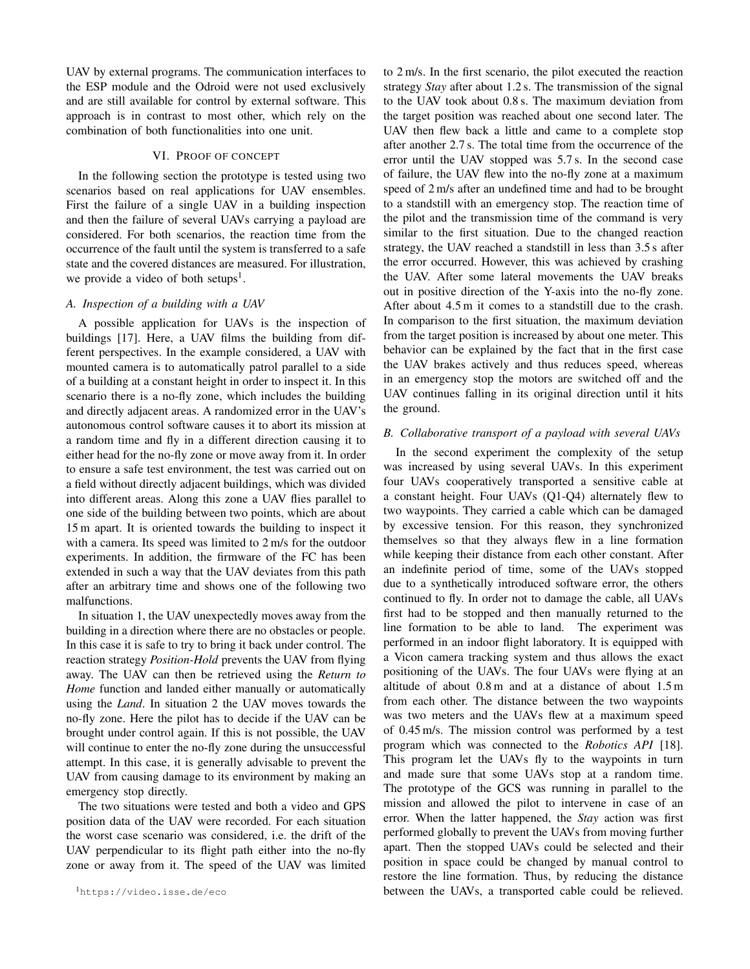UAV by external programs. The communication interfaces to the ESP module and the Odroid were not used exclusively and are still available for control by external software. This approach is in contrast to most other, which rely on the combination of both functionalities into one unit.

# VI. PROOF OF CONCEPT

In the following section the prototype is tested using two scenarios based on real applications for UAV ensembles. First the failure of a single UAV in a building inspection and then the failure of several UAVs carrying a payload are considered. For both scenarios, the reaction time from the occurrence of the fault until the system is transferred to a safe state and the covered distances are measured. For illustration, we provide a video of both setups<sup>1</sup>.

# *A. Inspection of a building with a UAV*

A possible application for UAVs is the inspection of buildings [17]. Here, a UAV films the building from different perspectives. In the example considered, a UAV with mounted camera is to automatically patrol parallel to a side of a building at a constant height in order to inspect it. In this scenario there is a no-fly zone, which includes the building and directly adjacent areas. A randomized error in the UAV's autonomous control software causes it to abort its mission at a random time and fly in a different direction causing it to either head for the no-fly zone or move away from it. In order to ensure a safe test environment, the test was carried out on a field without directly adjacent buildings, which was divided into different areas. Along this zone a UAV flies parallel to one side of the building between two points, which are about 15 m apart. It is oriented towards the building to inspect it with a camera. Its speed was limited to 2 m/s for the outdoor experiments. In addition, the firmware of the FC has been extended in such a way that the UAV deviates from this path after an arbitrary time and shows one of the following two malfunctions.

In situation 1, the UAV unexpectedly moves away from the building in a direction where there are no obstacles or people. In this case it is safe to try to bring it back under control. The reaction strategy *Position-Hold* prevents the UAV from flying away. The UAV can then be retrieved using the *Return to Home* function and landed either manually or automatically using the *Land*. In situation 2 the UAV moves towards the no-fly zone. Here the pilot has to decide if the UAV can be brought under control again. If this is not possible, the UAV will continue to enter the no-fly zone during the unsuccessful attempt. In this case, it is generally advisable to prevent the UAV from causing damage to its environment by making an emergency stop directly.

The two situations were tested and both a video and GPS position data of the UAV were recorded. For each situation the worst case scenario was considered, i.e. the drift of the UAV perpendicular to its flight path either into the no-fly zone or away from it. The speed of the UAV was limited to 2 m/s. In the first scenario, the pilot executed the reaction strategy *Stay* after about 1.2 s. The transmission of the signal to the UAV took about 0.8 s. The maximum deviation from the target position was reached about one second later. The UAV then flew back a little and came to a complete stop after another 2.7 s. The total time from the occurrence of the error until the UAV stopped was 5.7 s. In the second case of failure, the UAV flew into the no-fly zone at a maximum speed of 2 m/s after an undefined time and had to be brought to a standstill with an emergency stop. The reaction time of the pilot and the transmission time of the command is very similar to the first situation. Due to the changed reaction strategy, the UAV reached a standstill in less than 3.5 s after the error occurred. However, this was achieved by crashing the UAV. After some lateral movements the UAV breaks out in positive direction of the Y-axis into the no-fly zone. After about 4.5 m it comes to a standstill due to the crash. In comparison to the first situation, the maximum deviation from the target position is increased by about one meter. This behavior can be explained by the fact that in the first case the UAV brakes actively and thus reduces speed, whereas in an emergency stop the motors are switched off and the UAV continues falling in its original direction until it hits the ground.

#### *B. Collaborative transport of a payload with several UAVs*

In the second experiment the complexity of the setup was increased by using several UAVs. In this experiment four UAVs cooperatively transported a sensitive cable at a constant height. Four UAVs (Q1-Q4) alternately flew to two waypoints. They carried a cable which can be damaged by excessive tension. For this reason, they synchronized themselves so that they always flew in a line formation while keeping their distance from each other constant. After an indefinite period of time, some of the UAVs stopped due to a synthetically introduced software error, the others continued to fly. In order not to damage the cable, all UAVs first had to be stopped and then manually returned to the line formation to be able to land. The experiment was performed in an indoor flight laboratory. It is equipped with a Vicon camera tracking system and thus allows the exact positioning of the UAVs. The four UAVs were flying at an altitude of about 0.8 m and at a distance of about 1.5 m from each other. The distance between the two waypoints was two meters and the UAVs flew at a maximum speed of 0.45 m/s. The mission control was performed by a test program which was connected to the *Robotics API* [18]. This program let the UAVs fly to the waypoints in turn and made sure that some UAVs stop at a random time. The prototype of the GCS was running in parallel to the mission and allowed the pilot to intervene in case of an error. When the latter happened, the *Stay* action was first performed globally to prevent the UAVs from moving further apart. Then the stopped UAVs could be selected and their position in space could be changed by manual control to restore the line formation. Thus, by reducing the distance between the UAVs, a transported cable could be relieved.

<sup>1</sup>https://video.isse.de/eco